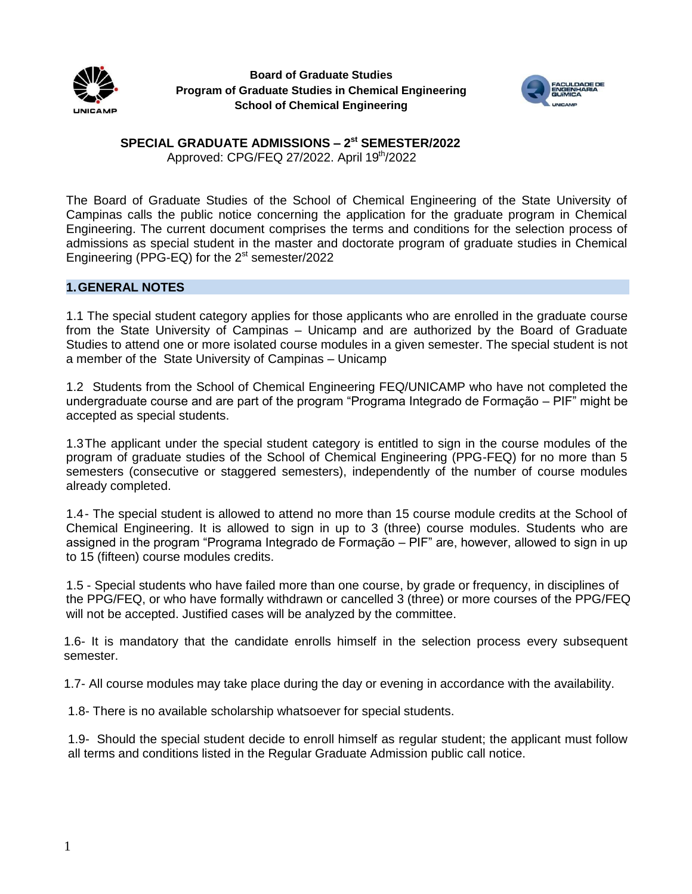



# **SPECIAL GRADUATE ADMISSIONS – 2 st SEMESTER/2022** Approved: CPG/FEQ 27/2022. April 19<sup>th</sup>/2022

The Board of Graduate Studies of the School of Chemical Engineering of the State University of Campinas calls the public notice concerning the application for the graduate program in Chemical Engineering. The current document comprises the terms and conditions for the selection process of admissions as special student in the master and doctorate program of graduate studies in Chemical Engineering (PPG-EQ) for the 2<sup>st</sup> semester/2022

# **1.GENERAL NOTES**

1.1 The special student category applies for those applicants who are enrolled in the graduate course from the State University of Campinas – Unicamp and are authorized by the Board of Graduate Studies to attend one or more isolated course modules in a given semester. The special student is not a member of the State University of Campinas – Unicamp

1.2 Students from the School of Chemical Engineering FEQ/UNICAMP who have not completed the undergraduate course and are part of the program "Programa Integrado de Formação – PIF" might be accepted as special students.

1.3The applicant under the special student category is entitled to sign in the course modules of the program of graduate studies of the School of Chemical Engineering (PPG-FEQ) for no more than 5 semesters (consecutive or staggered semesters), independently of the number of course modules already completed.

1.4- The special student is allowed to attend no more than 15 course module credits at the School of Chemical Engineering. It is allowed to sign in up to 3 (three) course modules. Students who are assigned in the program "Programa Integrado de Formação – PIF" are, however, allowed to sign in up to 15 (fifteen) course modules credits.

1.5 - Special students who have failed more than one course, by grade or frequency, in disciplines of the PPG/FEQ, or who have formally withdrawn or cancelled 3 (three) or more courses of the PPG/FEQ will not be accepted. Justified cases will be analyzed by the committee.

1.6- It is mandatory that the candidate enrolls himself in the selection process every subsequent semester.

1.7- All course modules may take place during the day or evening in accordance with the availability.

1.8- There is no available scholarship whatsoever for special students.

1.9- Should the special student decide to enroll himself as regular student; the applicant must follow all terms and conditions listed in the Regular Graduate Admission public call notice.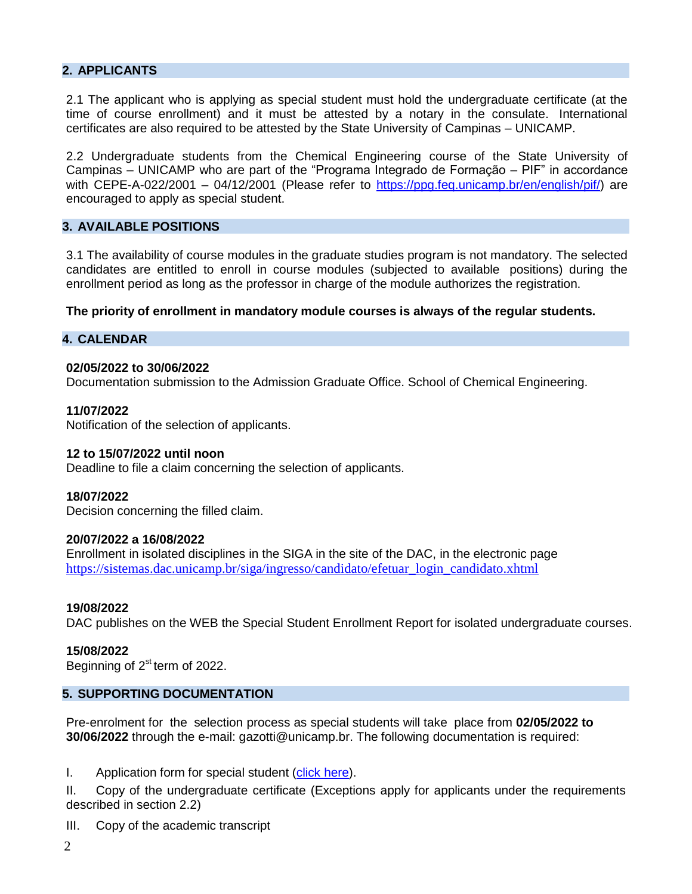# **2. APPLICANTS**

2.1 The applicant who is applying as special student must hold the undergraduate certificate (at the time of course enrollment) and it must be attested by a notary in the consulate. International certificates are also required to be attested by the State University of Campinas – UNICAMP.

2.2 Undergraduate students from the Chemical Engineering course of the State University of Campinas – UNICAMP who are part of the "Programa Integrado de Formação – PIF" in accordance with CEPE-A-022/2001 – 04/12/2001 (Please refer to [https://ppg.feq.unicamp.br/en/english/pif/\)](https://ppg.feq.unicamp.br/en/english/pif/) are encouraged to apply as special student.

## **3. AVAILABLE POSITIONS**

3.1 The availability of course modules in the graduate studies program is not mandatory. The selected candidates are entitled to enroll in course modules (subjected to available positions) during the enrollment period as long as the professor in charge of the module authorizes the registration.

**The priority of enrollment in mandatory module courses is always of the regular students.**

## **4. CALENDAR**

### **02/05/2022 to 30/06/2022**

Documentation submission to the Admission Graduate Office. School of Chemical Engineering.

### **11/07/2022**

Notification of the selection of applicants.

### **12 to 15/07/2022 until noon**

Deadline to file a claim concerning the selection of applicants.

#### **18/07/2022**

Decision concerning the filled claim.

### **20/07/2022 a 16/08/2022**

Enrollment in isolated disciplines in the SIGA in the site of the DAC, in the electronic page [https://sistemas.dac.unicamp.br/siga/ingresso/candidato/efetuar\\_login\\_candidato.xhtml](https://sistemas.dac.unicamp.br/siga/ingresso/candidato/efetuar_login_candidato.xhtml)

#### **19/08/2022**

DAC publishes on the WEB the Special Student Enrollment Report for isolated undergraduate courses.

#### **15/08/2022**

Beginning of 2<sup>st</sup> term of 2022.

# **5. SUPPORTING DOCUMENTATION**

Pre-enrolment for the selection process as special students will take place from **02/05/2022 to 30/06/2022** through the e-mail: gazotti@unicamp.br. The following documentation is required:

I. Application form for special student (click [here\)](https://forms.gle/UfRQwZB9vCfJyf5N9).

II. Copy of the undergraduate certificate (Exceptions apply for applicants under the requirements described in section 2.2)

- III. Copy of the academic transcript
- $\mathcal{L}$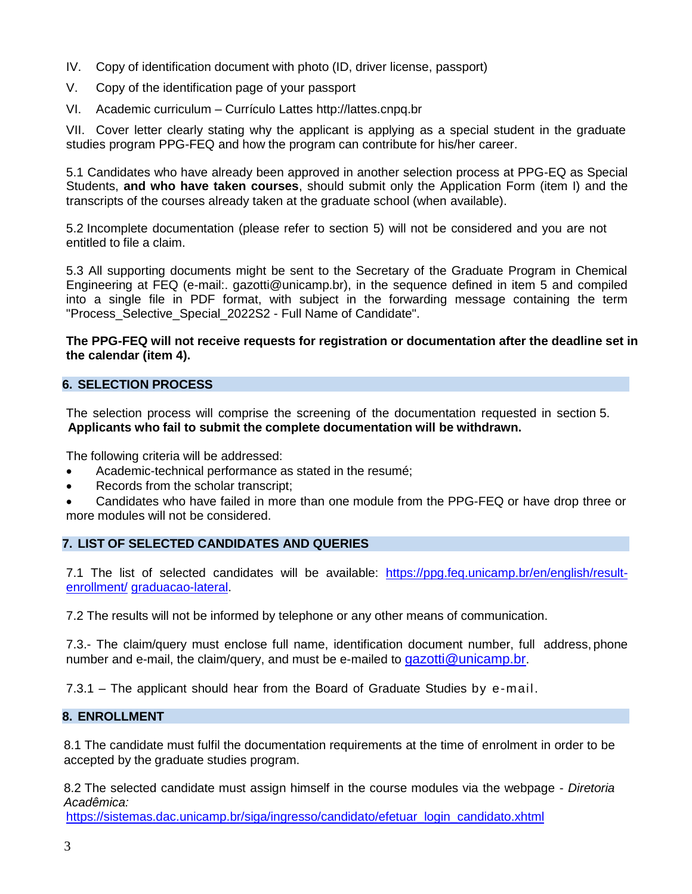- IV. Copy of identification document with photo (ID, driver license, passport)
- V. Copy of the identification page of your passport
- VI. Academic curriculum Currículo Lattes http://lattes.cnpq.br

VII. Cover letter clearly stating why the applicant is applying as a special student in the graduate studies program PPG-FEQ and how the program can contribute for his/her career.

5.1 Candidates who have already been approved in another selection process at PPG-EQ as Special Students, **and who have taken courses**, should submit only the Application Form (item I) and the transcripts of the courses already taken at the graduate school (when available).

5.2 Incomplete documentation (please refer to section 5) will not be considered and you are not entitled to file a claim.

5.3 All supporting documents might be sent to the Secretary of the Graduate Program in Chemical Engineering at FEQ (e-mail:. gazotti@unicamp.br), in the sequence defined in item 5 and compiled into a single file in PDF format, with subject in the forwarding message containing the term "Process\_Selective\_Special\_2022S2 - Full Name of Candidate".

## **The PPG-FEQ will not receive requests for registration or documentation after the deadline set in the calendar (item 4).**

# **6. SELECTION PROCESS**

The selection process will comprise the screening of the documentation requested in section 5. **Applicants who fail to submit the complete documentation will be withdrawn.**

The following criteria will be addressed:

- Academic-technical performance as stated in the resumé;
- Records from the scholar transcript;

 Candidates who have failed in more than one module from the PPG-FEQ or have drop three or more modules will not be considered.

# **7. LIST OF SELECTED CANDIDATES AND QUERIES**

7.1 The list of selected candidates will be available: [https://ppg.feq.unicamp.br/en/english/result](https://ppg.feq.unicamp.br/en/english/result-enrollment/)[enrollment/](https://ppg.feq.unicamp.br/en/english/result-enrollment/) [graduacao-lateral.](http://www.feq.unicamp.br/index.php/pos-graduacao-lateral)

7.2 The results will not be informed by telephone or any other means of communication.

7.3.- The claim/query must enclose full name, identification document number, full address, phone number and e-mail, the claim/query, and must be e-mailed to [gazotti@unicamp.br](mailto:gazotti@unicamp.br).

7.3.1 – The applicant should hear from the Board of Graduate Studies by e-mail.

# **8. ENROLLMENT**

8.1 The candidate must fulfil the documentation requirements at the time of enrolment in order to be accepted by the graduate studies program.

8.2 The selected candidate must assign himself in the course modules via the webpage - *Diretoria Acadêmica:*

[https://sistemas.dac.unicamp.br/siga/ingresso/candidato/efetuar\\_login\\_candidato.xhtml](https://sistemas.dac.unicamp.br/siga/ingresso/candidato/efetuar_login_candidato.xhtml)